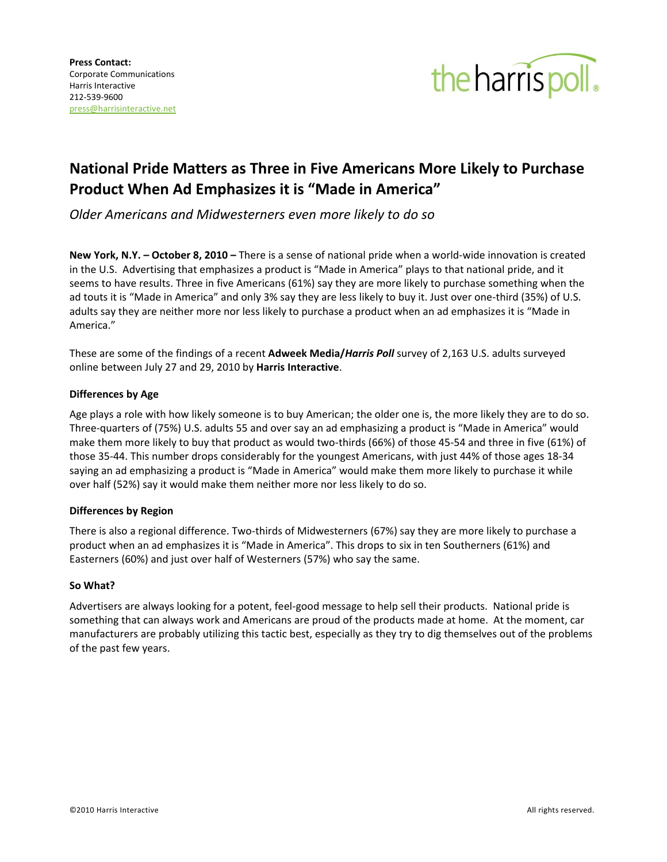

# **National Pride Matters as Three in Five Americans More Likely to Purchase Product When Ad Emphasizes it is "Made in America"**

*Older Americans and Midwesterners even more likely to do so*

**New York, N.Y. – October 8, 2010 –** There is a sense of national pride when a world-wide innovation is created in the U.S. Advertising that emphasizes a product is "Made in America" plays to that national pride, and it seems to have results. Three in five Americans (61%) say they are more likely to purchase something when the ad touts it is "Made in America" and only 3% say they are less likely to buy it. Just over one-third (35%) of U.S. adults say they are neither more nor less likely to purchase a product when an ad emphasizes it is "Made in America."

These are some of the findings of a recent **Adweek Media/***Harris Poll* survey of 2,163 U.S. adults surveyed online between July 27 and 29, 2010 by **Harris Interactive**.

## **Differences by Age**

Age plays a role with how likely someone is to buy American; the older one is, the more likely they are to do so. Three-quarters of (75%) U.S. adults 55 and over say an ad emphasizing a product is "Made in America" would make them more likely to buy that product as would two-thirds (66%) of those 45-54 and three in five (61%) of those 35-44. This number drops considerably for the youngest Americans, with just 44% of those ages 18-34 saying an ad emphasizing a product is "Made in America" would make them more likely to purchase it while over half (52%) say it would make them neither more nor less likely to do so.

## **Differences by Region**

There is also a regional difference. Two-thirds of Midwesterners (67%) say they are more likely to purchase a product when an ad emphasizes it is "Made in America". This drops to six in ten Southerners (61%) and Easterners (60%) and just over half of Westerners (57%) who say the same.

## **So What?**

Advertisers are always looking for a potent, feel-good message to help sell their products. National pride is something that can always work and Americans are proud of the products made at home. At the moment, car manufacturers are probably utilizing this tactic best, especially as they try to dig themselves out of the problems of the past few years.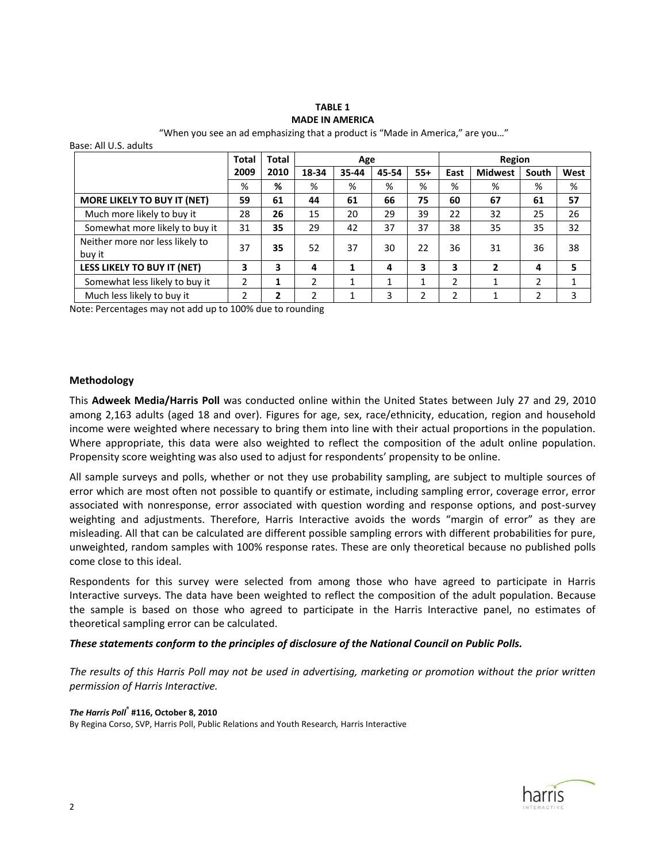# **TABLE 1 MADE IN AMERICA**

"When you see an ad emphasizing that a product is "Made in America," are you…" Base: All U.S. adults

|                                    | Total | <b>Total</b> | Age            |       |       |       | Region |                |       |      |
|------------------------------------|-------|--------------|----------------|-------|-------|-------|--------|----------------|-------|------|
|                                    | 2009  | 2010         | 18-34          | 35-44 | 45-54 | $55+$ | East   | <b>Midwest</b> | South | West |
|                                    | %     | %            | %              | %     | %     | %     | %      | %              | %     | %    |
| MORE LIKELY TO BUY IT (NET)        | 59    | 61           | 44             | 61    | 66    | 75    | 60     | 67             | 61    | 57   |
| Much more likely to buy it         | 28    | 26           | 15             | 20    | 29    | 39    | 22     | 32             | 25    | 26   |
| Somewhat more likely to buy it     | 31    | 35           | 29             | 42    | 37    | 37    | 38     | 35             | 35    | 32   |
| Neither more nor less likely to    | 37    | 35           | 52             | 37    | 30    | 22    | 36     | 31             | 36    | 38   |
| buy it                             |       |              |                |       |       |       |        |                |       |      |
| <b>LESS LIKELY TO BUY IT (NET)</b> | 3     | 3            | 4              | 1     | 4     | 3     | 3      | $\mathbf{2}$   | 4     | 5    |
| Somewhat less likely to buy it     | 2     | 1            | $\mathfrak{p}$ | 1     | 1     | 1     | 2      | 1              | 2     | 1    |
| Much less likely to buy it         | 2     | 2            | っ              | 1     | 3     | 2     | າ      | 1              | າ     | 3    |

Note: Percentages may not add up to 100% due to rounding

#### **Methodology**

This **Adweek Media/Harris Poll** was conducted online within the United States between July 27 and 29, 2010 among 2,163 adults (aged 18 and over). Figures for age, sex, race/ethnicity, education, region and household income were weighted where necessary to bring them into line with their actual proportions in the population. Where appropriate, this data were also weighted to reflect the composition of the adult online population. Propensity score weighting was also used to adjust for respondents' propensity to be online.

All sample surveys and polls, whether or not they use probability sampling, are subject to multiple sources of error which are most often not possible to quantify or estimate, including sampling error, coverage error, error associated with nonresponse, error associated with question wording and response options, and post-survey weighting and adjustments. Therefore, Harris Interactive avoids the words "margin of error" as they are misleading. All that can be calculated are different possible sampling errors with different probabilities for pure, unweighted, random samples with 100% response rates. These are only theoretical because no published polls come close to this ideal.

Respondents for this survey were selected from among those who have agreed to participate in Harris Interactive surveys. The data have been weighted to reflect the composition of the adult population. Because the sample is based on those who agreed to participate in the Harris Interactive panel, no estimates of theoretical sampling error can be calculated.

#### *These statements conform to the principles of disclosure of the National Council on Public Polls.*

*The results of this Harris Poll may not be used in advertising, marketing or promotion without the prior written permission of Harris Interactive.*

#### *The Harris Poll***® #116, October 8, 2010**

By Regina Corso, SVP, Harris Poll, Public Relations and Youth Research*,* Harris Interactive